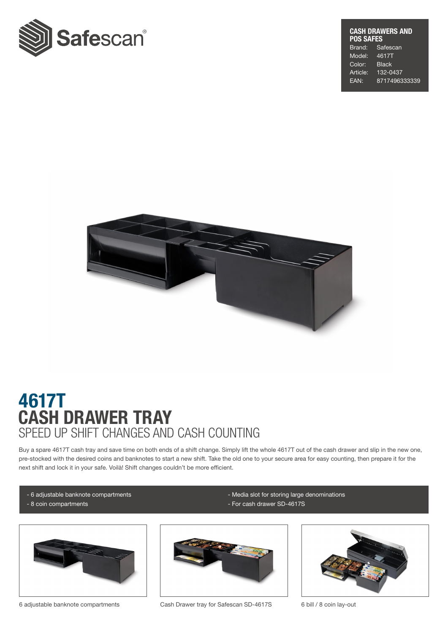

#### CASH DRAWERS AND POS SAFES<br>Brand: Sa Safescan<br>4617T Model: Color: Black Article: 132-0437 EAN: 8717496333339



# CASH DRAWER TRAY 4617T SPEED UP SHIFT CHANGES AND CASH COUNTING

Buy a spare 4617T cash tray and save time on both ends of a shift change. Simply lift the whole 4617T out of the cash drawer and slip in the new one, pre-stocked with the desired coins and banknotes to start a new shift. Take the old one to your secure area for easy counting, then prepare it for the next shift and lock it in your safe. Voilà! Shift changes couldn't be more efficient.

- 6 adjustable banknote compartments
- 8 coin compartments
- 



6 adjustable banknote compartments Cash Drawer tray for Safescan SD-4617S 6 bill / 8 coin lay-out



- Media slot for storing large denominations

- For cash drawer SD-4617S